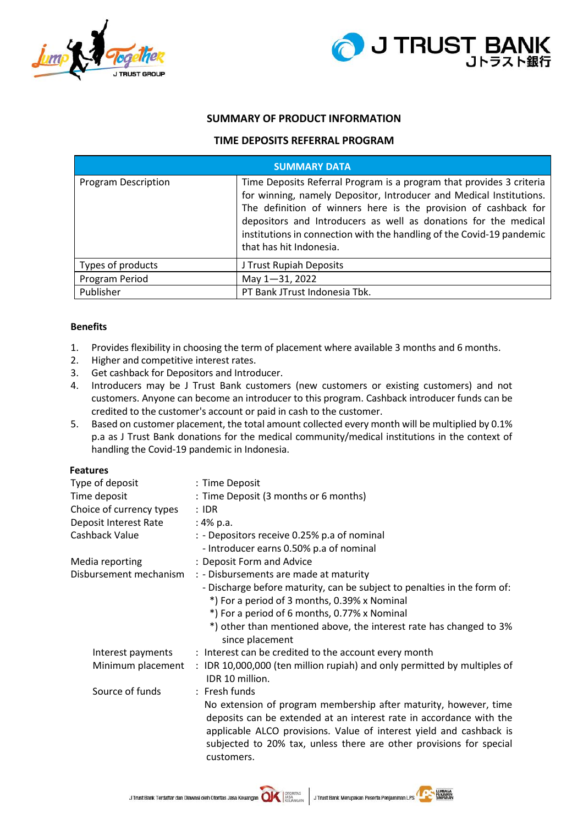



## **SUMMARY OF PRODUCT INFORMATION**

## **TIME DEPOSITS REFERRAL PROGRAM**

| <b>SUMMARY DATA</b> |                                                                                                                                                                                                                                                                                                                                                                                       |  |  |  |
|---------------------|---------------------------------------------------------------------------------------------------------------------------------------------------------------------------------------------------------------------------------------------------------------------------------------------------------------------------------------------------------------------------------------|--|--|--|
| Program Description | Time Deposits Referral Program is a program that provides 3 criteria<br>for winning, namely Depositor, Introducer and Medical Institutions.<br>The definition of winners here is the provision of cashback for<br>depositors and Introducers as well as donations for the medical<br>institutions in connection with the handling of the Covid-19 pandemic<br>that has hit Indonesia. |  |  |  |
| Types of products   | J Trust Rupiah Deposits                                                                                                                                                                                                                                                                                                                                                               |  |  |  |
| Program Period      | May 1-31, 2022                                                                                                                                                                                                                                                                                                                                                                        |  |  |  |
| Publisher           | PT Bank JTrust Indonesia Tbk.                                                                                                                                                                                                                                                                                                                                                         |  |  |  |

## **Benefits**

- 1. Provides flexibility in choosing the term of placement where available 3 months and 6 months.
- 2. Higher and competitive interest rates.
- 3. Get cashback for Depositors and Introducer.
- 4. Introducers may be J Trust Bank customers (new customers or existing customers) and not customers. Anyone can become an introducer to this program. Cashback introducer funds can be credited to the customer's account or paid in cash to the customer.
- 5. Based on customer placement, the total amount collected every month will be multiplied by 0.1% p.a as J Trust Bank donations for the medical community/medical institutions in the context of handling the Covid-19 pandemic in Indonesia.

#### **Features**

| Type of deposit          | : Time Deposit                                                                                                                                                                                                                                                                                      |  |  |
|--------------------------|-----------------------------------------------------------------------------------------------------------------------------------------------------------------------------------------------------------------------------------------------------------------------------------------------------|--|--|
| Time deposit             | : Time Deposit (3 months or 6 months)                                                                                                                                                                                                                                                               |  |  |
| Choice of currency types | $:$ IDR                                                                                                                                                                                                                                                                                             |  |  |
| Deposit Interest Rate    | : 4% p.a.                                                                                                                                                                                                                                                                                           |  |  |
| Cashback Value           | : - Depositors receive 0.25% p.a of nominal                                                                                                                                                                                                                                                         |  |  |
|                          | - Introducer earns 0.50% p.a of nominal                                                                                                                                                                                                                                                             |  |  |
| Media reporting          | : Deposit Form and Advice                                                                                                                                                                                                                                                                           |  |  |
| Disbursement mechanism   | : - Disbursements are made at maturity                                                                                                                                                                                                                                                              |  |  |
|                          | - Discharge before maturity, can be subject to penalties in the form of:                                                                                                                                                                                                                            |  |  |
|                          | *) For a period of 3 months, 0.39% x Nominal                                                                                                                                                                                                                                                        |  |  |
|                          | *) For a period of 6 months, 0.77% x Nominal                                                                                                                                                                                                                                                        |  |  |
|                          | *) other than mentioned above, the interest rate has changed to 3%<br>since placement                                                                                                                                                                                                               |  |  |
| Interest payments        | : Interest can be credited to the account every month                                                                                                                                                                                                                                               |  |  |
| Minimum placement        | : IDR 10,000,000 (ten million rupiah) and only permitted by multiples of<br>IDR 10 million.                                                                                                                                                                                                         |  |  |
| Source of funds          | : Fresh funds                                                                                                                                                                                                                                                                                       |  |  |
|                          | No extension of program membership after maturity, however, time<br>deposits can be extended at an interest rate in accordance with the<br>applicable ALCO provisions. Value of interest yield and cashback is<br>subjected to 20% tax, unless there are other provisions for special<br>customers. |  |  |
|                          |                                                                                                                                                                                                                                                                                                     |  |  |

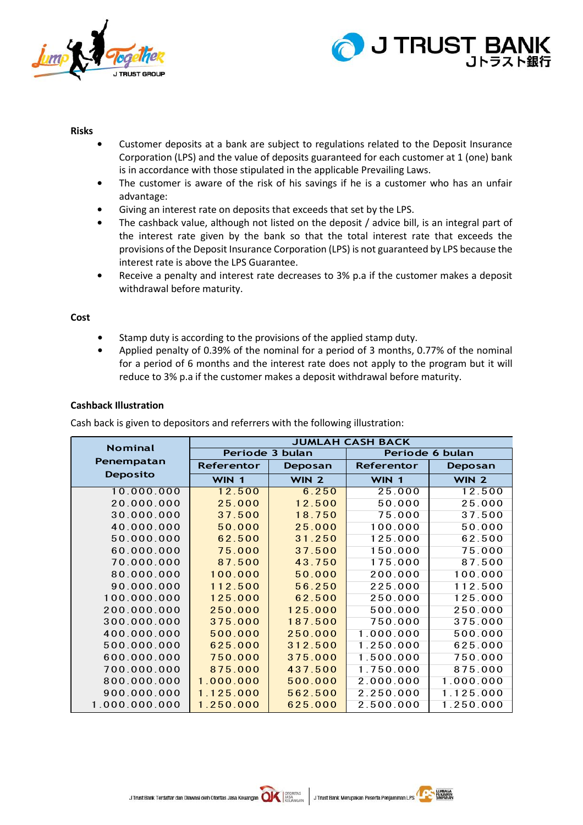



#### **Risks**

- **•** Customer deposits at a bank are subject to regulations related to the Deposit Insurance Corporation (LPS) and the value of deposits guaranteed for each customer at 1 (one) bank is in accordance with those stipulated in the applicable Prevailing Laws.
- **•** The customer is aware of the risk of his savings if he is a customer who has an unfair advantage:
- **•** Giving an interest rate on deposits that exceeds that set by the LPS.
- **•** The cashback value, although not listed on the deposit / advice bill, is an integral part of the interest rate given by the bank so that the total interest rate that exceeds the provisions of the Deposit Insurance Corporation (LPS) is not guaranteed by LPS because the interest rate is above the LPS Guarantee.
- **•** Receive a penalty and interest rate decreases to 3% p.a if the customer makes a deposit withdrawal before maturity.

#### **Cost**

- **•** Stamp duty is according to the provisions of the applied stamp duty.
- **•** Applied penalty of 0.39% of the nominal for a period of 3 months, 0.77% of the nominal for a period of 6 months and the interest rate does not apply to the program but it will reduce to 3% p.a if the customer makes a deposit withdrawal before maturity.

#### **Cashback Illustration**

Cash back is given to depositors and referrers with the following illustration:

| <b>Nominal</b>  | <b>JUMLAH CASH BACK</b> |         |                 |                  |  |
|-----------------|-------------------------|---------|-----------------|------------------|--|
|                 | Periode 3 bulan         |         | Periode 6 bulan |                  |  |
| Penempatan      | <b>Referentor</b>       | Deposan | Referentor      | Deposan          |  |
| <b>Deposito</b> | WIN 1                   | WIN 2   | WIN 1           | WIN <sub>2</sub> |  |
| 10.000.000      | 12.500                  | 6.250   | 25.000          | 12.500           |  |
| 20.000.000      | 25.000                  | 12.500  | 50.000          | 25.000           |  |
| 30.000.000      | 37.500                  | 18.750  | 75.000          | 37.500           |  |
| 40.000.000      | 50.000                  | 25.000  | 100.000         | 50.000           |  |
| 50.000.000      | 62.500                  | 31.250  | 125.000         | 62.500           |  |
| 60.000.000      | 75.000                  | 37.500  | 150.000         | 75.000           |  |
| 70.000.000      | 87.500                  | 43.750  | 175.000         | 87.500           |  |
| 80.000.000      | 100.000                 | 50.000  | 200.000         | 100.000          |  |
| 90.000.000      | 112.500                 | 56.250  | 225.000         | 112.500          |  |
| 100.000.000     | 125.000                 | 62.500  | 250.000         | 125.000          |  |
| 200.000.000     | 250.000                 | 125.000 | 500.000         | 250.000          |  |
| 300.000.000     | 375.000                 | 187.500 | 750.000         | 375.000          |  |
| 400.000.000     | 500.000                 | 250.000 | 1.000.000       | 500.000          |  |
| 500.000.000     | 625.000                 | 312.500 | 1.250.000       | 625.000          |  |
| 600.000.000     | 750.000                 | 375.000 | 1.500.000       | 750.000          |  |
| 700.000.000     | 875.000                 | 437.500 | 1.750.000       | 875.000          |  |
| 800.000.000     | 1.000.000               | 500.000 | 2.000.000       | 1.000.000        |  |
| 900.000.000     | 1.125.000               | 562.500 | 2.250.000       | 1.125.000        |  |
| 1.000.000.000   | 1.250.000               | 625.000 | 2.500.000       | 1.250.000        |  |